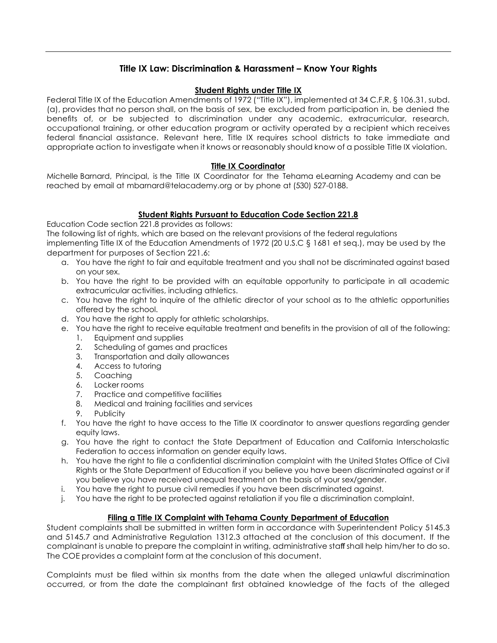# **Title IX Law: Discrimination & Harassment – Know Your Rights**

### **Student Rights under Title IX**

Federal Title IX of the Education Amendments of 1972 ("Title IX"), implemented at 34 C.F.R. § 106.31, subd. (a), provides that no person shall, on the basis of sex, be excluded from participation in, be denied the benefits of, or be subjected to discrimination under any academic, extracurricular, research, occupational training, or other education program or activity operated by a recipient which receives federal financial assistance. Relevant here, Title IX requires school districts to take immediate and appropriate action to investigate when it knows or reasonably should know of a possible Title IX violation.

### **Title IX Coordinator**

Michelle Barnard, Principal, is the Title IX Coordinator for the Tehama eLearning Academy and can be reached by email at mbarnard@telacademy.org or by pho[ne at \(530\)](mailto:ndebortoli@tehamaschools.org) 527-0188.

# **Student Rights Pursuant to Education Code Section 221.8**

Education Code section 221.8 provides as follows:

The following list of rights, which are based on the relevant provisions of the federal regulations

implementing Title IX of the Education Amendments of 1972 (20 U.S.C § 1681 et seq.), may be used by the department for purposes of Section 221.6:

- a. You have the right to fair and equitable treatment and you shall not be discriminated against based on your sex.
- b. You have the right to be provided with an equitable opportunity to participate in all academic extracurricular activities, including athletics.
- c. You have the right to inquire of the athletic director of your school as to the athletic opportunities offered by the school.
- d. You have the right to apply for athletic scholarships.
- e. You have the right to receive equitable treatment and benefits in the provision of all of the following:
	- 1. Equipment and supplies
	- 2. Scheduling of games and practices
	- 3. Transportation and daily allowances
	- 4. Access to tutoring
	- 5. Coaching
	- 6. Locker rooms
	- 7. Practice and competitive facilities
	- 8. Medical and training facilities and services
	- 9. Publicity
- f. You have the right to have access to the Title IX coordinator to answer questions regarding gender equity laws.
- g. You have the right to contact the State Department of Education and California Interscholastic Federation to access information on gender equity laws.
- h. You have the right to file a confidential discrimination complaint with the United States Office of Civil Rights or the State Department of Education if you believe you have been discriminated against or if you believe you have received unequal treatment on the basis of your sex/gender.
- i. You have the right to pursue civil remedies if you have been discriminated against.
- j. You have the right to be protected against retaliation if you file a discrimination complaint.

# **Filing a Title IX Complaint with Tehama County Department of Education**

Student complaints shall be submitted in written form in accordance with Superintendent Policy 5145.3 and 5145.7 and Administrative Regulation 1312.3 attached at the conclusion of this document. If the complainant is unable to prepare the complaint in writing, administrative staff shall help him/her to do so. The COE provides a complaint form at the conclusion of this document.

Complaints must be filed within six months from the date when the alleged unlawful discrimination occurred, or from the date the complainant first obtained knowledge of the facts of the alleged